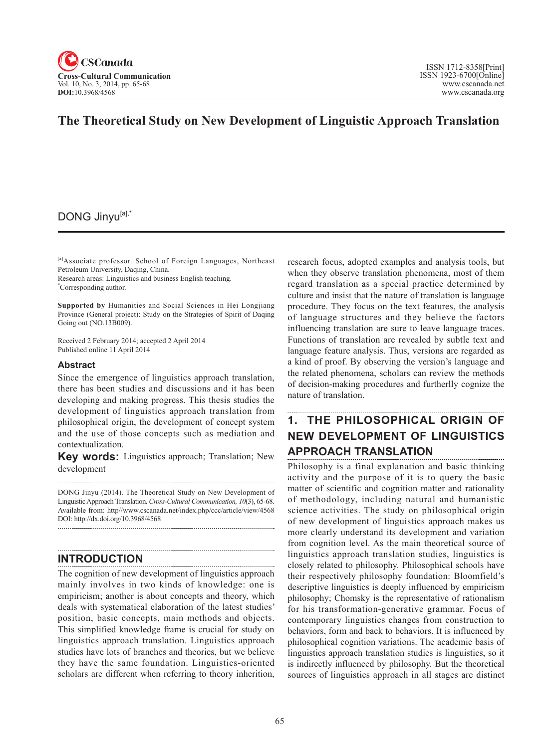

## **The Theoretical Study on New Development of Linguistic Approach Translation**

### DONG Jinyu[a],\*

[a]Associate professor. School of Foreign Languages, Northeast Petroleum University, Daqing, China.

Research areas: Linguistics and business English teaching.

\* Corresponding author.

**Supported by** Humanities and Social Sciences in Hei Longjiang Province (General project): Study on the Strategies of Spirit of Daqing Going out (NO.13B009).

Received 2 February 2014; accepted 2 April 2014 Published online 11 April 2014

#### **Abstract**

Since the emergence of linguistics approach translation, there has been studies and discussions and it has been developing and making progress. This thesis studies the development of linguistics approach translation from philosophical origin, the development of concept system and the use of those concepts such as mediation and contextualization.

**Key words:** Linguistics approach; Translation; New development

DONG Jinyu (2014). The Theoretical Study on New Development of Linguistic Approach Translation. *Cross-Cultural Communication, 10*(3), 65-68. Available from: http//www.cscanada.net/index.php/ccc/article/view/4568 DOI: http://dx.doi.org/10.3968/4568

#### **INTRODUCTION**

The cognition of new development of linguistics approach mainly involves in two kinds of knowledge: one is empiricism; another is about concepts and theory, which deals with systematical elaboration of the latest studies' position, basic concepts, main methods and objects. This simplified knowledge frame is crucial for study on linguistics approach translation. Linguistics approach studies have lots of branches and theories, but we believe they have the same foundation. Linguistics-oriented scholars are different when referring to theory inherition,

research focus, adopted examples and analysis tools, but when they observe translation phenomena, most of them regard translation as a special practice determined by culture and insist that the nature of translation is language procedure. They focus on the text features, the analysis of language structures and they believe the factors influencing translation are sure to leave language traces. Functions of translation are revealed by subtle text and language feature analysis. Thus, versions are regarded as a kind of proof. By observing the version's language and the related phenomena, scholars can review the methods of decision-making procedures and furtherlly cognize the nature of translation.

# **1. THE PHILOSOPHICAL ORIGIN OF NEW DEVELOPMENT OF LINGUISTICS APPROACH TRANSLATION**

Philosophy is a final explanation and basic thinking activity and the purpose of it is to query the basic matter of scientific and cognition matter and rationality of methodology, including natural and humanistic science activities. The study on philosophical origin of new development of linguistics approach makes us more clearly understand its development and variation from cognition level. As the main theoretical source of linguistics approach translation studies, linguistics is closely related to philosophy. Philosophical schools have their respectively philosophy foundation: Bloomfield's descriptive linguistics is deeply influenced by empiricism philosophy; Chomsky is the representative of rationalism for his transformation-generative grammar. Focus of contemporary linguistics changes from construction to behaviors, form and back to behaviors. It is influenced by philosophical cognition variations. The academic basis of linguistics approach translation studies is linguistics, so it is indirectly influenced by philosophy. But the theoretical sources of linguistics approach in all stages are distinct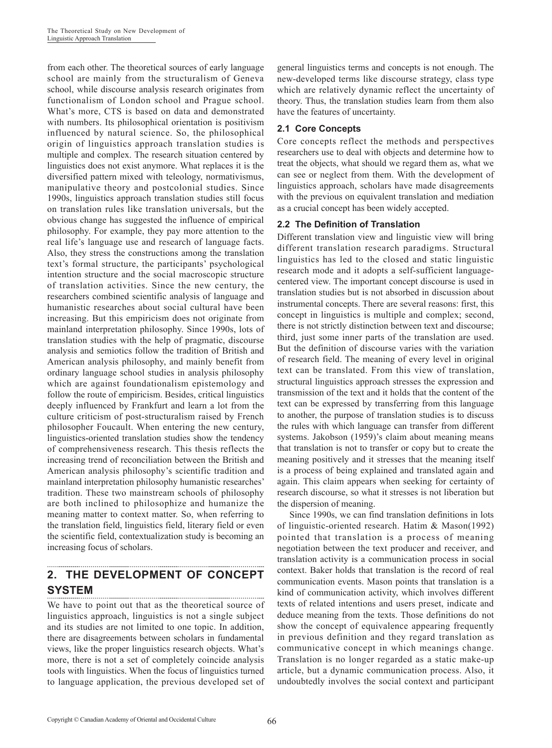from each other. The theoretical sources of early language school are mainly from the structuralism of Geneva school, while discourse analysis research originates from functionalism of London school and Prague school. What's more, CTS is based on data and demonstrated with numbers. Its philosophical orientation is positivism influenced by natural science. So, the philosophical origin of linguistics approach translation studies is multiple and complex. The research situation centered by linguistics does not exist anymore. What replaces it is the diversified pattern mixed with teleology, normativismus, manipulative theory and postcolonial studies. Since 1990s, linguistics approach translation studies still focus on translation rules like translation universals, but the obvious change has suggested the influence of empirical philosophy. For example, they pay more attention to the real life's language use and research of language facts. Also, they stress the constructions among the translation text's formal structure, the participants' psychological intention structure and the social macroscopic structure of translation activities. Since the new century, the researchers combined scientific analysis of language and humanistic researches about social cultural have been increasing. But this empiricism does not originate from mainland interpretation philosophy. Since 1990s, lots of translation studies with the help of pragmatic, discourse analysis and semiotics follow the tradition of British and American analysis philosophy, and mainly benefit from ordinary language school studies in analysis philosophy which are against foundationalism epistemology and follow the route of empiricism. Besides, critical linguistics deeply influenced by Frankfurt and learn a lot from the culture criticism of post-structuralism raised by French philosopher Foucault. When entering the new century, linguistics-oriented translation studies show the tendency of comprehensiveness research. This thesis reflects the increasing trend of reconciliation between the British and American analysis philosophy's scientific tradition and mainland interpretation philosophy humanistic researches' tradition. These two mainstream schools of philosophy are both inclined to philosophize and humanize the meaning matter to context matter. So, when referring to the translation field, linguistics field, literary field or even the scientific field, contextualization study is becoming an increasing focus of scholars.

#### **2. THE DEVELOPMENT OF CONCEPT SYSTEM**

We have to point out that as the theoretical source of linguistics approach, linguistics is not a single subject and its studies are not limited to one topic. In addition, there are disagreements between scholars in fundamental views, like the proper linguistics research objects. What's more, there is not a set of completely coincide analysis tools with linguistics. When the focus of linguistics turned to language application, the previous developed set of

general linguistics terms and concepts is not enough. The new-developed terms like discourse strategy, class type which are relatively dynamic reflect the uncertainty of theory. Thus, the translation studies learn from them also have the features of uncertainty.

### **2.1 Core Concepts**

Core concepts reflect the methods and perspectives researchers use to deal with objects and determine how to treat the objects, what should we regard them as, what we can see or neglect from them. With the development of linguistics approach, scholars have made disagreements with the previous on equivalent translation and mediation as a crucial concept has been widely accepted.

#### **2.2 The Definition of Translation**

Different translation view and linguistic view will bring different translation research paradigms. Structural linguistics has led to the closed and static linguistic research mode and it adopts a self-sufficient languagecentered view. The important concept discourse is used in translation studies but is not absorbed in discussion about instrumental concepts. There are several reasons: first, this concept in linguistics is multiple and complex; second, there is not strictly distinction between text and discourse; third, just some inner parts of the translation are used. But the definition of discourse varies with the variation of research field. The meaning of every level in original text can be translated. From this view of translation, structural linguistics approach stresses the expression and transmission of the text and it holds that the content of the text can be expressed by transferring from this language to another, the purpose of translation studies is to discuss the rules with which language can transfer from different systems. Jakobson (1959)'s claim about meaning means that translation is not to transfer or copy but to create the meaning positively and it stresses that the meaning itself is a process of being explained and translated again and again. This claim appears when seeking for certainty of research discourse, so what it stresses is not liberation but the dispersion of meaning.

Since 1990s, we can find translation definitions in lots of linguistic-oriented research. Hatim & Mason(1992) pointed that translation is a process of meaning negotiation between the text producer and receiver, and translation activity is a communication process in social context. Baker holds that translation is the record of real communication events. Mason points that translation is a kind of communication activity, which involves different texts of related intentions and users preset, indicate and deduce meaning from the texts. Those definitions do not show the concept of equivalence appearing frequently in previous definition and they regard translation as communicative concept in which meanings change. Translation is no longer regarded as a static make-up article, but a dynamic communication process. Also, it undoubtedly involves the social context and participant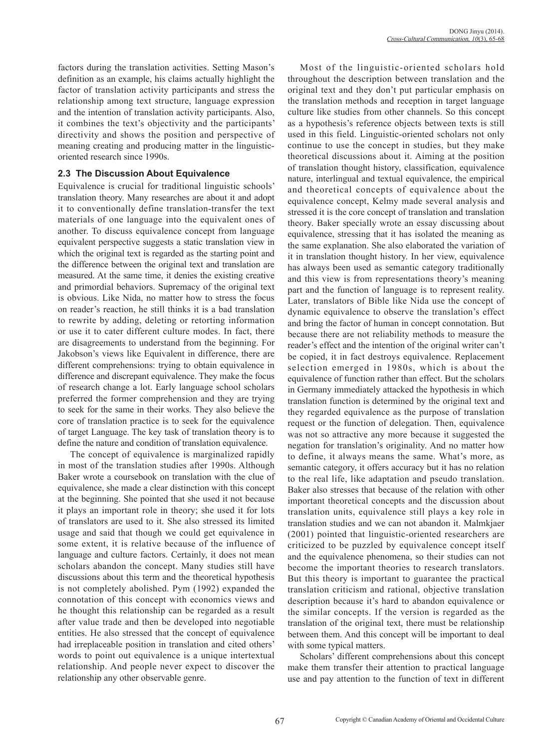factors during the translation activities. Setting Mason's definition as an example, his claims actually highlight the factor of translation activity participants and stress the relationship among text structure, language expression and the intention of translation activity participants. Also, it combines the text's objectivity and the participants' directivity and shows the position and perspective of meaning creating and producing matter in the linguisticoriented research since 1990s.

#### **2.3 The Discussion About Equivalence**

Equivalence is crucial for traditional linguistic schools' translation theory. Many researches are about it and adopt it to conventionally define translation-transfer the text materials of one language into the equivalent ones of another. To discuss equivalence concept from language equivalent perspective suggests a static translation view in which the original text is regarded as the starting point and the difference between the original text and translation are measured. At the same time, it denies the existing creative and primordial behaviors. Supremacy of the original text is obvious. Like Nida, no matter how to stress the focus on reader's reaction, he still thinks it is a bad translation to rewrite by adding, deleting or retorting information or use it to cater different culture modes. In fact, there are disagreements to understand from the beginning. For Jakobson's views like Equivalent in difference, there are different comprehensions: trying to obtain equivalence in difference and discrepant equivalence. They make the focus of research change a lot. Early language school scholars preferred the former comprehension and they are trying to seek for the same in their works. They also believe the core of translation practice is to seek for the equivalence of target Language. The key task of translation theory is to define the nature and condition of translation equivalence.

The concept of equivalence is marginalized rapidly in most of the translation studies after 1990s. Although Baker wrote a coursebook on translation with the clue of equivalence, she made a clear distinction with this concept at the beginning. She pointed that she used it not because it plays an important role in theory; she used it for lots of translators are used to it. She also stressed its limited usage and said that though we could get equivalence in some extent, it is relative because of the influence of language and culture factors. Certainly, it does not mean scholars abandon the concept. Many studies still have discussions about this term and the theoretical hypothesis is not completely abolished. Pym (1992) expanded the connotation of this concept with economics views and he thought this relationship can be regarded as a result after value trade and then be developed into negotiable entities. He also stressed that the concept of equivalence had irreplaceable position in translation and cited others' words to point out equivalence is a unique intertextual relationship. And people never expect to discover the relationship any other observable genre.

Most of the linguistic-oriented scholars hold throughout the description between translation and the original text and they don't put particular emphasis on the translation methods and reception in target language culture like studies from other channels. So this concept as a hypothesis's reference objects between texts is still used in this field. Linguistic-oriented scholars not only continue to use the concept in studies, but they make theoretical discussions about it. Aiming at the position of translation thought history, classification, equivalence nature, interlingual and textual equivalence, the empirical and theoretical concepts of equivalence about the equivalence concept, Kelmy made several analysis and stressed it is the core concept of translation and translation theory. Baker specially wrote an essay discussing about equivalence, stressing that it has isolated the meaning as the same explanation. She also elaborated the variation of it in translation thought history. In her view, equivalence has always been used as semantic category traditionally and this view is from representations theory's meaning part and the function of language is to represent reality. Later, translators of Bible like Nida use the concept of dynamic equivalence to observe the translation's effect and bring the factor of human in concept connotation. But because there are not reliability methods to measure the reader's effect and the intention of the original writer can't be copied, it in fact destroys equivalence. Replacement selection emerged in 1980s, which is about the equivalence of function rather than effect. But the scholars in Germany immediately attacked the hypothesis in which translation function is determined by the original text and they regarded equivalence as the purpose of translation request or the function of delegation. Then, equivalence was not so attractive any more because it suggested the negation for translation's originality. And no matter how to define, it always means the same. What's more, as semantic category, it offers accuracy but it has no relation to the real life, like adaptation and pseudo translation. Baker also stresses that because of the relation with other important theoretical concepts and the discussion about translation units, equivalence still plays a key role in translation studies and we can not abandon it. Malmkjaer (2001) pointed that linguistic-oriented researchers are criticized to be puzzled by equivalence concept itself and the equivalence phenomena, so their studies can not become the important theories to research translators. But this theory is important to guarantee the practical translation criticism and rational, objective translation description because it's hard to abandon equivalence or the similar concepts. If the version is regarded as the translation of the original text, there must be relationship between them. And this concept will be important to deal with some typical matters.

Scholars' different comprehensions about this concept make them transfer their attention to practical language use and pay attention to the function of text in different